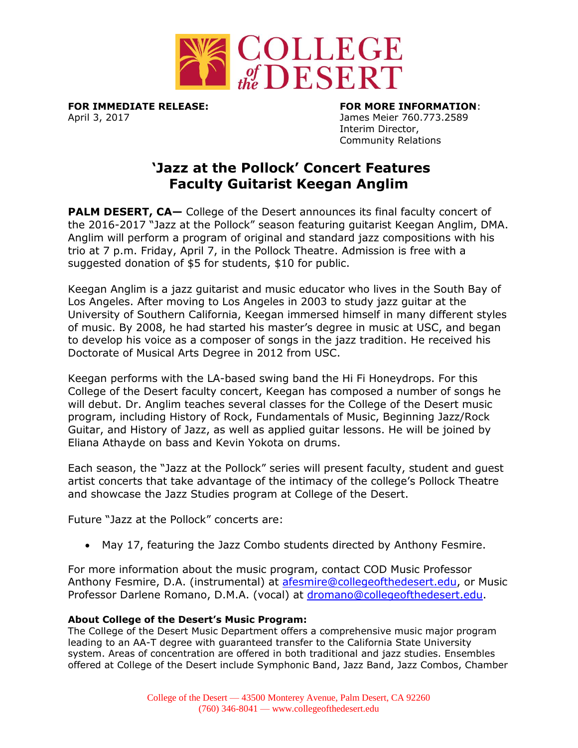

April 3, 2017 **James Meier 760.773.2589** 

**FOR IMMEDIATE RELEASE: FOR MORE INFORMATION**: Interim Director, Community Relations

## **'Jazz at the Pollock' Concert Features Faculty Guitarist Keegan Anglim**

**PALM DESERT, CA-** College of the Desert announces its final faculty concert of the 2016-2017 "Jazz at the Pollock" season featuring guitarist Keegan Anglim, DMA. Anglim will perform a program of original and standard jazz compositions with his trio at 7 p.m. Friday, April 7, in the Pollock Theatre. Admission is free with a suggested donation of \$5 for students, \$10 for public.

Keegan Anglim is a jazz guitarist and music educator who lives in the South Bay of Los Angeles. After moving to Los Angeles in 2003 to study jazz guitar at the University of Southern California, Keegan immersed himself in many different styles of music. By 2008, he had started his master's degree in music at USC, and began to develop his voice as a composer of songs in the jazz tradition. He received his Doctorate of Musical Arts Degree in 2012 from USC.

Keegan performs with the LA-based swing band the Hi Fi Honeydrops. For this College of the Desert faculty concert, Keegan has composed a number of songs he will debut. Dr. Anglim teaches several classes for the College of the Desert music program, including History of Rock, Fundamentals of Music, Beginning Jazz/Rock Guitar, and History of Jazz, as well as applied guitar lessons. He will be joined by Eliana Athayde on bass and Kevin Yokota on drums.

Each season, the "Jazz at the Pollock" series will present faculty, student and guest artist concerts that take advantage of the intimacy of the college's Pollock Theatre and showcase the Jazz Studies program at College of the Desert.

Future "Jazz at the Pollock" concerts are:

May 17, featuring the Jazz Combo students directed by Anthony Fesmire.

For more information about the music program, contact COD Music Professor Anthony Fesmire, D.A. (instrumental) at [afesmire@collegeofthedesert.edu,](mailto:afesmire@collegeofthedesert.edu) or Music Professor Darlene Romano, D.M.A. (vocal) at [dromano@collegeofthedesert.edu.](mailto:dromano@collegeofthedesert.edu)

## **About College of the Desert's Music Program:**

The College of the Desert Music Department offers a comprehensive music major program leading to an AA-T degree with guaranteed transfer to the California State University system. Areas of concentration are offered in both traditional and jazz studies. Ensembles offered at College of the Desert include Symphonic Band, Jazz Band, Jazz Combos, Chamber